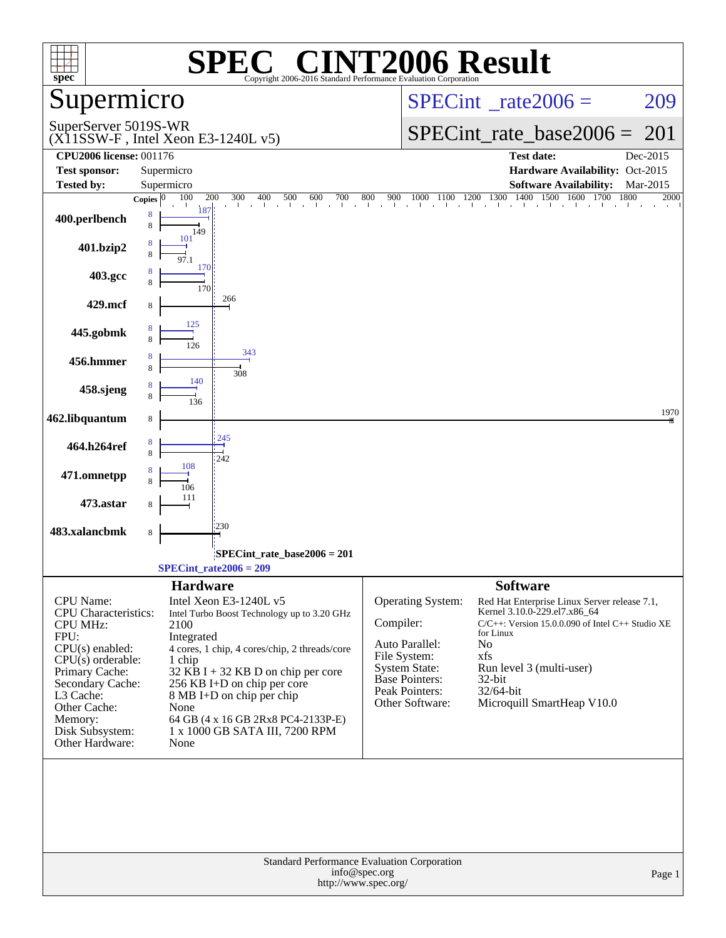| spec <sup>®</sup>                                                                                                                                                                                                                          | $\blacksquare$<br>SPEO<br>Copyright 2006-2016 Standard Performance Evaluation Corporation                                                                                                                                                                                                                                                                             | <b>INT2006 Result</b>                                                                                                                                                                                                                                                                                                                                                                                                                |        |
|--------------------------------------------------------------------------------------------------------------------------------------------------------------------------------------------------------------------------------------------|-----------------------------------------------------------------------------------------------------------------------------------------------------------------------------------------------------------------------------------------------------------------------------------------------------------------------------------------------------------------------|--------------------------------------------------------------------------------------------------------------------------------------------------------------------------------------------------------------------------------------------------------------------------------------------------------------------------------------------------------------------------------------------------------------------------------------|--------|
| Supermicro                                                                                                                                                                                                                                 |                                                                                                                                                                                                                                                                                                                                                                       | $SPECint^{\circ}$ _rate2006 =                                                                                                                                                                                                                                                                                                                                                                                                        | 209    |
| SuperServer 5019S-WR                                                                                                                                                                                                                       | $(X11SSW-F$ , Intel Xeon E3-1240L v5)                                                                                                                                                                                                                                                                                                                                 | $SPECint_rate\_base2006 =$                                                                                                                                                                                                                                                                                                                                                                                                           | 201    |
| <b>CPU2006 license: 001176</b><br><b>Test sponsor:</b>                                                                                                                                                                                     | Supermicro                                                                                                                                                                                                                                                                                                                                                            | <b>Test date:</b><br>Dec-2015<br>Hardware Availability: Oct-2015                                                                                                                                                                                                                                                                                                                                                                     |        |
| <b>Tested by:</b>                                                                                                                                                                                                                          | Supermicro                                                                                                                                                                                                                                                                                                                                                            | <b>Software Availability:</b><br>Mar-2015                                                                                                                                                                                                                                                                                                                                                                                            |        |
| 400.perlbench<br>401.bzip2                                                                                                                                                                                                                 | 100<br>200<br>300<br>400<br>Copies $\boxed{0}$<br>187<br>8<br>8<br>149<br>101                                                                                                                                                                                                                                                                                         | $\begin{array}{cccccccccccccccccc} 500 & 600 & 700 & 800 & 900 & 1000 & 1100 & 1200 & 1300 & 1400 & 1500 & 1600 & 1700 & 1600 & 1600 & 1600 & 1600 & 1600 & 1600 & 1600 & 1600 & 1600 & 1600 & 1600 & 1600 & 1600 & 1600 & 1600 & 1600 & 1600 & 1600 & 1600 & 1600 & 1600 & 1600 & 160$<br>1800                                                                                                                                      | 2000   |
| 403.gcc                                                                                                                                                                                                                                    | 170<br>170                                                                                                                                                                                                                                                                                                                                                            |                                                                                                                                                                                                                                                                                                                                                                                                                                      |        |
| 429.mcf                                                                                                                                                                                                                                    | 266<br>8                                                                                                                                                                                                                                                                                                                                                              |                                                                                                                                                                                                                                                                                                                                                                                                                                      |        |
| 445.gobmk                                                                                                                                                                                                                                  | 125<br>126                                                                                                                                                                                                                                                                                                                                                            |                                                                                                                                                                                                                                                                                                                                                                                                                                      |        |
| 456.hmmer                                                                                                                                                                                                                                  | 343<br>8<br>308                                                                                                                                                                                                                                                                                                                                                       |                                                                                                                                                                                                                                                                                                                                                                                                                                      |        |
| 458.sjeng                                                                                                                                                                                                                                  | 140<br>136                                                                                                                                                                                                                                                                                                                                                            |                                                                                                                                                                                                                                                                                                                                                                                                                                      |        |
| 462.libquantum                                                                                                                                                                                                                             | 8<br>245                                                                                                                                                                                                                                                                                                                                                              |                                                                                                                                                                                                                                                                                                                                                                                                                                      | 1970   |
| 464.h264ref                                                                                                                                                                                                                                | 8<br>8<br>242<br>108                                                                                                                                                                                                                                                                                                                                                  |                                                                                                                                                                                                                                                                                                                                                                                                                                      |        |
| 471.omnetpp                                                                                                                                                                                                                                | 106                                                                                                                                                                                                                                                                                                                                                                   |                                                                                                                                                                                                                                                                                                                                                                                                                                      |        |
| 473.astar<br>483.xalancbmk                                                                                                                                                                                                                 | 230<br>8                                                                                                                                                                                                                                                                                                                                                              |                                                                                                                                                                                                                                                                                                                                                                                                                                      |        |
|                                                                                                                                                                                                                                            | SPECint_rate_base2006 = $201$                                                                                                                                                                                                                                                                                                                                         |                                                                                                                                                                                                                                                                                                                                                                                                                                      |        |
|                                                                                                                                                                                                                                            | $SPECint_rate2006 = 209$                                                                                                                                                                                                                                                                                                                                              |                                                                                                                                                                                                                                                                                                                                                                                                                                      |        |
| <b>CPU</b> Name:<br><b>CPU</b> Characteristics:<br><b>CPU MHz:</b><br>FPU:<br>$CPU(s)$ enabled:<br>$CPU(s)$ orderable:<br>Primary Cache:<br>Secondary Cache:<br>L3 Cache:<br>Other Cache:<br>Memory:<br>Disk Subsystem:<br>Other Hardware: | <b>Hardware</b><br>Intel Xeon E3-1240L v5<br>Intel Turbo Boost Technology up to 3.20 GHz<br>2100<br>Integrated<br>4 cores, 1 chip, 4 cores/chip, 2 threads/core<br>1 chip<br>$32$ KB I + 32 KB D on chip per core<br>256 KB I+D on chip per core<br>8 MB I+D on chip per chip<br>None<br>64 GB (4 x 16 GB 2Rx8 PC4-2133P-E)<br>1 x 1000 GB SATA III, 7200 RPM<br>None | <b>Software</b><br>Operating System:<br>Red Hat Enterprise Linux Server release 7.1,<br>Kernel 3.10.0-229.el7.x86_64<br>Compiler:<br>$C/C++$ : Version 15.0.0.090 of Intel $C++$ Studio XE<br>for Linux<br>Auto Parallel:<br>No<br>File System:<br>xfs<br><b>System State:</b><br>Run level 3 (multi-user)<br><b>Base Pointers:</b><br>32-bit<br><b>Peak Pointers:</b><br>32/64-bit<br>Microquill SmartHeap V10.0<br>Other Software: |        |
|                                                                                                                                                                                                                                            | Standard Performance Evaluation Corporation<br>info@spec.org<br>http://www.spec.org/                                                                                                                                                                                                                                                                                  |                                                                                                                                                                                                                                                                                                                                                                                                                                      | Page 1 |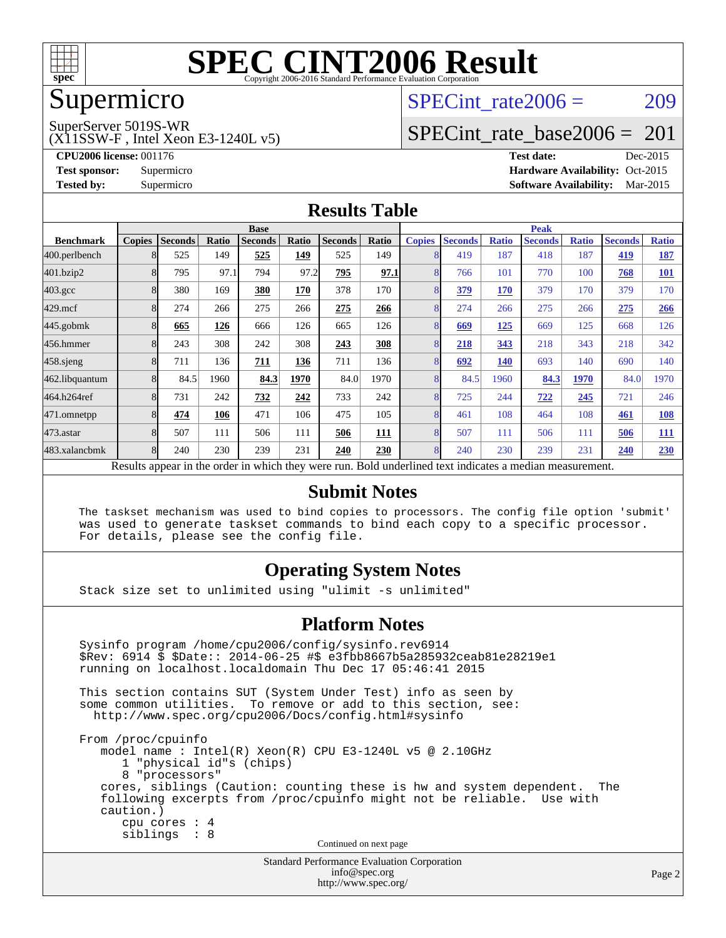

### Supermicro

SuperServer 5019S-WR

(X11SSW-F , Intel Xeon E3-1240L v5)

SPECint rate $2006 = 209$ 

### [SPECint\\_rate\\_base2006 =](http://www.spec.org/auto/cpu2006/Docs/result-fields.html#SPECintratebase2006) 201

**[CPU2006 license:](http://www.spec.org/auto/cpu2006/Docs/result-fields.html#CPU2006license)** 001176 **[Test date:](http://www.spec.org/auto/cpu2006/Docs/result-fields.html#Testdate)** Dec-2015 **[Test sponsor:](http://www.spec.org/auto/cpu2006/Docs/result-fields.html#Testsponsor)** Supermicro Supermicro **[Hardware Availability:](http://www.spec.org/auto/cpu2006/Docs/result-fields.html#HardwareAvailability)** Oct-2015 **[Tested by:](http://www.spec.org/auto/cpu2006/Docs/result-fields.html#Testedby)** Supermicro **Supermicro [Software Availability:](http://www.spec.org/auto/cpu2006/Docs/result-fields.html#SoftwareAvailability)** Mar-2015

#### **[Results Table](http://www.spec.org/auto/cpu2006/Docs/result-fields.html#ResultsTable)**

|                                                                                                          | <b>Base</b>   |                |       |                |       |                | <b>Peak</b> |                |                |              |                |              |                |              |
|----------------------------------------------------------------------------------------------------------|---------------|----------------|-------|----------------|-------|----------------|-------------|----------------|----------------|--------------|----------------|--------------|----------------|--------------|
| <b>Benchmark</b>                                                                                         | <b>Copies</b> | <b>Seconds</b> | Ratio | <b>Seconds</b> | Ratio | <b>Seconds</b> | Ratio       | <b>Copies</b>  | <b>Seconds</b> | <b>Ratio</b> | <b>Seconds</b> | <b>Ratio</b> | <b>Seconds</b> | <b>Ratio</b> |
| 400.perlbench                                                                                            | 8             | 525            | 149   | 525            | 149   | 525            | 149         |                | 419            | 187          | 418            | 187          | 419            | <u>187</u>   |
| 401.bzip2                                                                                                | 8             | 795            | 97.1  | 794            | 97.2  | 795            | 97.1        | 8              | 766            | 101          | 770            | 100          | 768            | <b>101</b>   |
| $403.\mathrm{gcc}$                                                                                       | 8             | 380            | 169   | 380            | 170   | 378            | 170         | 8              | 379            | 170          | 379            | 170          | 379            | 170          |
| $429$ .mcf                                                                                               | 8             | 274            | 266   | 275            | 266   | 275            | 266         | 8              | 274            | 266          | 275            | 266          | 275            | <b>266</b>   |
| $445$ .gobmk                                                                                             | 8             | 665            | 126   | 666            | 126   | 665            | 126         | 8              | 669            | 125          | 669            | 125          | 668            | 126          |
| 456.hmmer                                                                                                | 8             | 243            | 308   | 242            | 308   | 243            | 308         | 8              | 218            | 343          | 218            | 343          | 218            | 342          |
| $458$ .sjeng                                                                                             | 8             | 711            | 136   | 711            | 136   | 711            | 136         | 8              | 692            | 140          | 693            | 140          | 690            | 140          |
| 462.libquantum                                                                                           | 8             | 84.5           | 1960  | 84.3           | 1970  | 84.0           | 1970        | 8              | 84.5           | 1960         | 84.3           | 1970         | 84.0           | 1970         |
| 464.h264ref                                                                                              | 8             | 731            | 242   | 732            | 242   | 733            | 242         | 8              | 725            | 244          | 722            | 245          | 721            | 246          |
| 471.omnetpp                                                                                              | 8             | 474            | 106   | 471            | 106   | 475            | 105         | $\overline{8}$ | 461            | 108          | 464            | 108          | 461            | <b>108</b>   |
| $473$ . astar                                                                                            | 8             | 507            | 111   | 506            | 111   | 506            | <b>111</b>  | 8              | 507            | 111          | 506            | 111          | 506            | <b>111</b>   |
| 483.xalancbmk                                                                                            | 8             | 240            | 230   | 239            | 231   | 240            | 230         | 8              | 240            | 230          | 239            | 231          | 240            | 230          |
| Results appear in the order in which they were run. Bold underlined text indicates a median measurement. |               |                |       |                |       |                |             |                |                |              |                |              |                |              |

#### **[Submit Notes](http://www.spec.org/auto/cpu2006/Docs/result-fields.html#SubmitNotes)**

 The taskset mechanism was used to bind copies to processors. The config file option 'submit' was used to generate taskset commands to bind each copy to a specific processor. For details, please see the config file.

#### **[Operating System Notes](http://www.spec.org/auto/cpu2006/Docs/result-fields.html#OperatingSystemNotes)**

Stack size set to unlimited using "ulimit -s unlimited"

#### **[Platform Notes](http://www.spec.org/auto/cpu2006/Docs/result-fields.html#PlatformNotes)**

Standard Performance Evaluation Corporation Sysinfo program /home/cpu2006/config/sysinfo.rev6914 \$Rev: 6914 \$ \$Date:: 2014-06-25 #\$ e3fbb8667b5a285932ceab81e28219e1 running on localhost.localdomain Thu Dec 17 05:46:41 2015 This section contains SUT (System Under Test) info as seen by some common utilities. To remove or add to this section, see: <http://www.spec.org/cpu2006/Docs/config.html#sysinfo> From /proc/cpuinfo model name : Intel(R) Xeon(R) CPU E3-1240L v5 @ 2.10GHz 1 "physical id"s (chips) 8 "processors" cores, siblings (Caution: counting these is hw and system dependent. The following excerpts from /proc/cpuinfo might not be reliable. Use with caution.) cpu cores : 4 siblings : 8 Continued on next page

[info@spec.org](mailto:info@spec.org) <http://www.spec.org/>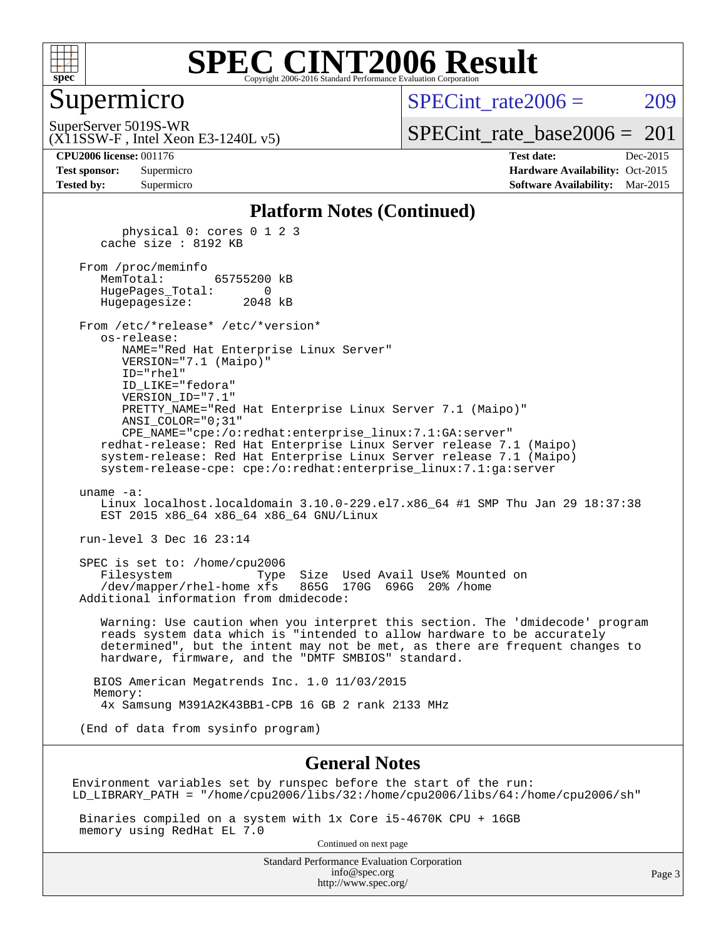

#### Supermicro

SPECint rate $2006 = 209$ 

SuperServer 5019S-WR

(X11SSW-F , Intel Xeon E3-1240L v5)

[SPECint\\_rate\\_base2006 =](http://www.spec.org/auto/cpu2006/Docs/result-fields.html#SPECintratebase2006)  $201$ 

**[CPU2006 license:](http://www.spec.org/auto/cpu2006/Docs/result-fields.html#CPU2006license)** 001176 **[Test date:](http://www.spec.org/auto/cpu2006/Docs/result-fields.html#Testdate)** Dec-2015 **[Test sponsor:](http://www.spec.org/auto/cpu2006/Docs/result-fields.html#Testsponsor)** Supermicro Supermicro **[Hardware Availability:](http://www.spec.org/auto/cpu2006/Docs/result-fields.html#HardwareAvailability)** Oct-2015 **[Tested by:](http://www.spec.org/auto/cpu2006/Docs/result-fields.html#Testedby)** Supermicro **Supermicro [Software Availability:](http://www.spec.org/auto/cpu2006/Docs/result-fields.html#SoftwareAvailability)** Mar-2015

#### **[Platform Notes \(Continued\)](http://www.spec.org/auto/cpu2006/Docs/result-fields.html#PlatformNotes)**

 physical 0: cores 0 1 2 3 cache size : 8192 KB

 From /proc/meminfo MemTotal: 65755200 kB HugePages\_Total: 0 Hugepagesize: 2048 kB

 From /etc/\*release\* /etc/\*version\* os-release: NAME="Red Hat Enterprise Linux Server" VERSION="7.1 (Maipo)"

 ID="rhel" ID\_LIKE="fedora" VERSION\_ID="7.1" PRETTY\_NAME="Red Hat Enterprise Linux Server 7.1 (Maipo)" ANSI\_COLOR="0;31" CPE\_NAME="cpe:/o:redhat:enterprise\_linux:7.1:GA:server"

 redhat-release: Red Hat Enterprise Linux Server release 7.1 (Maipo) system-release: Red Hat Enterprise Linux Server release 7.1 (Maipo) system-release-cpe: cpe:/o:redhat:enterprise\_linux:7.1:ga:server

uname -a:

 Linux localhost.localdomain 3.10.0-229.el7.x86\_64 #1 SMP Thu Jan 29 18:37:38 EST 2015 x86 64 x86 64 x86 64 GNU/Linux

run-level 3 Dec 16 23:14

 SPEC is set to: /home/cpu2006 Filesystem Type Size Used Avail Use% Mounted on /dev/mapper/rhel-home xfs 865G 170G 696G 20% /home Additional information from dmidecode:

 Warning: Use caution when you interpret this section. The 'dmidecode' program reads system data which is "intended to allow hardware to be accurately determined", but the intent may not be met, as there are frequent changes to hardware, firmware, and the "DMTF SMBIOS" standard.

 BIOS American Megatrends Inc. 1.0 11/03/2015 Memory: 4x Samsung M391A2K43BB1-CPB 16 GB 2 rank 2133 MHz

(End of data from sysinfo program)

#### **[General Notes](http://www.spec.org/auto/cpu2006/Docs/result-fields.html#GeneralNotes)**

Environment variables set by runspec before the start of the run: LD\_LIBRARY\_PATH = "/home/cpu2006/libs/32:/home/cpu2006/libs/64:/home/cpu2006/sh"

 Binaries compiled on a system with 1x Core i5-4670K CPU + 16GB memory using RedHat EL 7.0

Continued on next page

Standard Performance Evaluation Corporation [info@spec.org](mailto:info@spec.org) <http://www.spec.org/>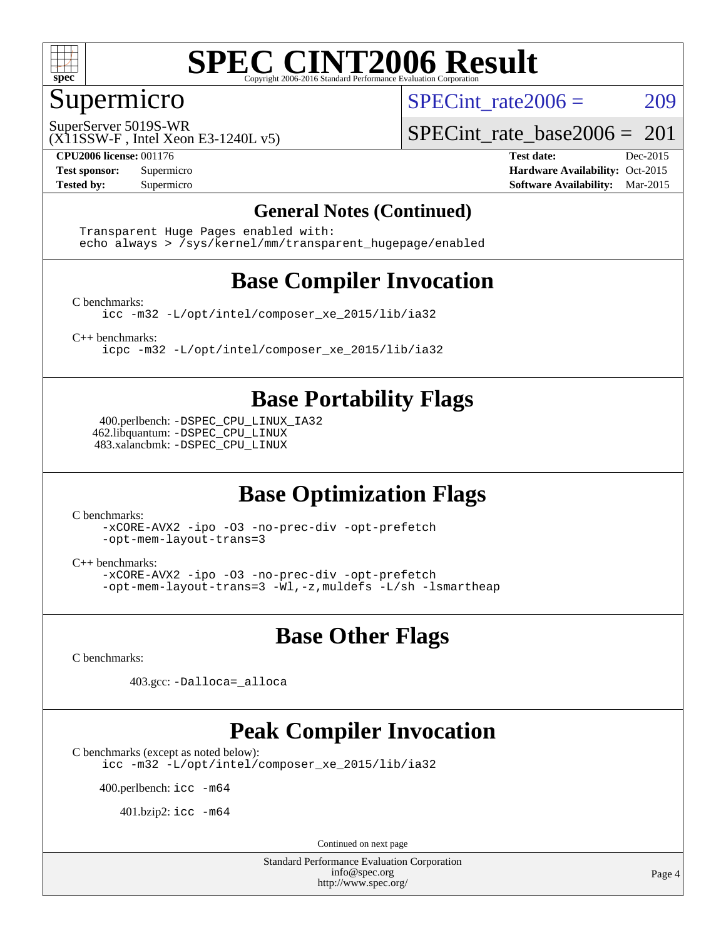

#### Supermicro

SPECint rate $2006 = 209$ 

SuperServer 5019S-WR

[SPECint\\_rate\\_base2006 =](http://www.spec.org/auto/cpu2006/Docs/result-fields.html#SPECintratebase2006)  $201$ 

(X11SSW-F , Intel Xeon E3-1240L v5)

**[CPU2006 license:](http://www.spec.org/auto/cpu2006/Docs/result-fields.html#CPU2006license)** 001176 **[Test date:](http://www.spec.org/auto/cpu2006/Docs/result-fields.html#Testdate)** Dec-2015 **[Test sponsor:](http://www.spec.org/auto/cpu2006/Docs/result-fields.html#Testsponsor)** Supermicro Supermicro **[Hardware Availability:](http://www.spec.org/auto/cpu2006/Docs/result-fields.html#HardwareAvailability)** Oct-2015 **[Tested by:](http://www.spec.org/auto/cpu2006/Docs/result-fields.html#Testedby)** Supermicro **Supermicro [Software Availability:](http://www.spec.org/auto/cpu2006/Docs/result-fields.html#SoftwareAvailability)** Mar-2015

#### **[General Notes \(Continued\)](http://www.spec.org/auto/cpu2006/Docs/result-fields.html#GeneralNotes)**

 Transparent Huge Pages enabled with: echo always > /sys/kernel/mm/transparent\_hugepage/enabled

### **[Base Compiler Invocation](http://www.spec.org/auto/cpu2006/Docs/result-fields.html#BaseCompilerInvocation)**

[C benchmarks](http://www.spec.org/auto/cpu2006/Docs/result-fields.html#Cbenchmarks):

[icc -m32 -L/opt/intel/composer\\_xe\\_2015/lib/ia32](http://www.spec.org/cpu2006/results/res2016q1/cpu2006-20151223-38503.flags.html#user_CCbase_intel_icc_011b86df29f8c679b747245588698a4d)

[C++ benchmarks:](http://www.spec.org/auto/cpu2006/Docs/result-fields.html#CXXbenchmarks)

[icpc -m32 -L/opt/intel/composer\\_xe\\_2015/lib/ia32](http://www.spec.org/cpu2006/results/res2016q1/cpu2006-20151223-38503.flags.html#user_CXXbase_intel_icpc_c2c99686a1a582c3e0de0b4806b02cea)

#### **[Base Portability Flags](http://www.spec.org/auto/cpu2006/Docs/result-fields.html#BasePortabilityFlags)**

 400.perlbench: [-DSPEC\\_CPU\\_LINUX\\_IA32](http://www.spec.org/cpu2006/results/res2016q1/cpu2006-20151223-38503.flags.html#b400.perlbench_baseCPORTABILITY_DSPEC_CPU_LINUX_IA32) 462.libquantum: [-DSPEC\\_CPU\\_LINUX](http://www.spec.org/cpu2006/results/res2016q1/cpu2006-20151223-38503.flags.html#b462.libquantum_baseCPORTABILITY_DSPEC_CPU_LINUX) 483.xalancbmk: [-DSPEC\\_CPU\\_LINUX](http://www.spec.org/cpu2006/results/res2016q1/cpu2006-20151223-38503.flags.html#b483.xalancbmk_baseCXXPORTABILITY_DSPEC_CPU_LINUX)

### **[Base Optimization Flags](http://www.spec.org/auto/cpu2006/Docs/result-fields.html#BaseOptimizationFlags)**

[C benchmarks](http://www.spec.org/auto/cpu2006/Docs/result-fields.html#Cbenchmarks):

[-xCORE-AVX2](http://www.spec.org/cpu2006/results/res2016q1/cpu2006-20151223-38503.flags.html#user_CCbase_f-xAVX2_5f5fc0cbe2c9f62c816d3e45806c70d7) [-ipo](http://www.spec.org/cpu2006/results/res2016q1/cpu2006-20151223-38503.flags.html#user_CCbase_f-ipo) [-O3](http://www.spec.org/cpu2006/results/res2016q1/cpu2006-20151223-38503.flags.html#user_CCbase_f-O3) [-no-prec-div](http://www.spec.org/cpu2006/results/res2016q1/cpu2006-20151223-38503.flags.html#user_CCbase_f-no-prec-div) [-opt-prefetch](http://www.spec.org/cpu2006/results/res2016q1/cpu2006-20151223-38503.flags.html#user_CCbase_f-opt-prefetch) [-opt-mem-layout-trans=3](http://www.spec.org/cpu2006/results/res2016q1/cpu2006-20151223-38503.flags.html#user_CCbase_f-opt-mem-layout-trans_a7b82ad4bd7abf52556d4961a2ae94d5)

[C++ benchmarks:](http://www.spec.org/auto/cpu2006/Docs/result-fields.html#CXXbenchmarks)

[-xCORE-AVX2](http://www.spec.org/cpu2006/results/res2016q1/cpu2006-20151223-38503.flags.html#user_CXXbase_f-xAVX2_5f5fc0cbe2c9f62c816d3e45806c70d7) [-ipo](http://www.spec.org/cpu2006/results/res2016q1/cpu2006-20151223-38503.flags.html#user_CXXbase_f-ipo) [-O3](http://www.spec.org/cpu2006/results/res2016q1/cpu2006-20151223-38503.flags.html#user_CXXbase_f-O3) [-no-prec-div](http://www.spec.org/cpu2006/results/res2016q1/cpu2006-20151223-38503.flags.html#user_CXXbase_f-no-prec-div) [-opt-prefetch](http://www.spec.org/cpu2006/results/res2016q1/cpu2006-20151223-38503.flags.html#user_CXXbase_f-opt-prefetch) [-opt-mem-layout-trans=3](http://www.spec.org/cpu2006/results/res2016q1/cpu2006-20151223-38503.flags.html#user_CXXbase_f-opt-mem-layout-trans_a7b82ad4bd7abf52556d4961a2ae94d5) [-Wl,-z,muldefs](http://www.spec.org/cpu2006/results/res2016q1/cpu2006-20151223-38503.flags.html#user_CXXbase_link_force_multiple1_74079c344b956b9658436fd1b6dd3a8a) [-L/sh -lsmartheap](http://www.spec.org/cpu2006/results/res2016q1/cpu2006-20151223-38503.flags.html#user_CXXbase_SmartHeap_32f6c82aa1ed9c52345d30cf6e4a0499)

#### **[Base Other Flags](http://www.spec.org/auto/cpu2006/Docs/result-fields.html#BaseOtherFlags)**

[C benchmarks](http://www.spec.org/auto/cpu2006/Docs/result-fields.html#Cbenchmarks):

403.gcc: [-Dalloca=\\_alloca](http://www.spec.org/cpu2006/results/res2016q1/cpu2006-20151223-38503.flags.html#b403.gcc_baseEXTRA_CFLAGS_Dalloca_be3056838c12de2578596ca5467af7f3)

#### **[Peak Compiler Invocation](http://www.spec.org/auto/cpu2006/Docs/result-fields.html#PeakCompilerInvocation)**

[C benchmarks \(except as noted below\)](http://www.spec.org/auto/cpu2006/Docs/result-fields.html#Cbenchmarksexceptasnotedbelow):

[icc -m32 -L/opt/intel/composer\\_xe\\_2015/lib/ia32](http://www.spec.org/cpu2006/results/res2016q1/cpu2006-20151223-38503.flags.html#user_CCpeak_intel_icc_011b86df29f8c679b747245588698a4d)

400.perlbench: [icc -m64](http://www.spec.org/cpu2006/results/res2016q1/cpu2006-20151223-38503.flags.html#user_peakCCLD400_perlbench_intel_icc_64bit_bda6cc9af1fdbb0edc3795bac97ada53)

401.bzip2: [icc -m64](http://www.spec.org/cpu2006/results/res2016q1/cpu2006-20151223-38503.flags.html#user_peakCCLD401_bzip2_intel_icc_64bit_bda6cc9af1fdbb0edc3795bac97ada53)

Continued on next page

Standard Performance Evaluation Corporation [info@spec.org](mailto:info@spec.org) <http://www.spec.org/>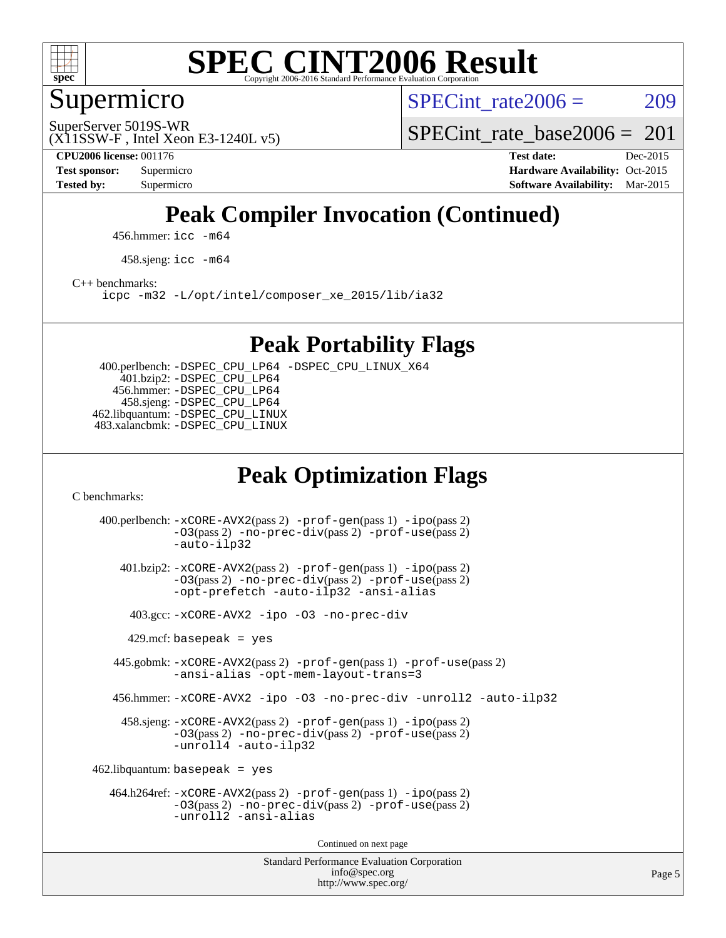

Supermicro

SPECint rate $2006 = 209$ 

(X11SSW-F , Intel Xeon E3-1240L v5) SuperServer 5019S-WR

[SPECint\\_rate\\_base2006 =](http://www.spec.org/auto/cpu2006/Docs/result-fields.html#SPECintratebase2006)  $201$ 

**[CPU2006 license:](http://www.spec.org/auto/cpu2006/Docs/result-fields.html#CPU2006license)** 001176 **[Test date:](http://www.spec.org/auto/cpu2006/Docs/result-fields.html#Testdate)** Dec-2015 **[Test sponsor:](http://www.spec.org/auto/cpu2006/Docs/result-fields.html#Testsponsor)** Supermicro **[Hardware Availability:](http://www.spec.org/auto/cpu2006/Docs/result-fields.html#HardwareAvailability)** Oct-2015 **[Tested by:](http://www.spec.org/auto/cpu2006/Docs/result-fields.html#Testedby)** Supermicro **Supermicro [Software Availability:](http://www.spec.org/auto/cpu2006/Docs/result-fields.html#SoftwareAvailability)** Mar-2015

## **[Peak Compiler Invocation \(Continued\)](http://www.spec.org/auto/cpu2006/Docs/result-fields.html#PeakCompilerInvocation)**

456.hmmer: [icc -m64](http://www.spec.org/cpu2006/results/res2016q1/cpu2006-20151223-38503.flags.html#user_peakCCLD456_hmmer_intel_icc_64bit_bda6cc9af1fdbb0edc3795bac97ada53)

458.sjeng: [icc -m64](http://www.spec.org/cpu2006/results/res2016q1/cpu2006-20151223-38503.flags.html#user_peakCCLD458_sjeng_intel_icc_64bit_bda6cc9af1fdbb0edc3795bac97ada53)

[C++ benchmarks:](http://www.spec.org/auto/cpu2006/Docs/result-fields.html#CXXbenchmarks)

[icpc -m32 -L/opt/intel/composer\\_xe\\_2015/lib/ia32](http://www.spec.org/cpu2006/results/res2016q1/cpu2006-20151223-38503.flags.html#user_CXXpeak_intel_icpc_c2c99686a1a582c3e0de0b4806b02cea)

**[Peak Portability Flags](http://www.spec.org/auto/cpu2006/Docs/result-fields.html#PeakPortabilityFlags)**

 400.perlbench: [-DSPEC\\_CPU\\_LP64](http://www.spec.org/cpu2006/results/res2016q1/cpu2006-20151223-38503.flags.html#b400.perlbench_peakCPORTABILITY_DSPEC_CPU_LP64) [-DSPEC\\_CPU\\_LINUX\\_X64](http://www.spec.org/cpu2006/results/res2016q1/cpu2006-20151223-38503.flags.html#b400.perlbench_peakCPORTABILITY_DSPEC_CPU_LINUX_X64) 401.bzip2: [-DSPEC\\_CPU\\_LP64](http://www.spec.org/cpu2006/results/res2016q1/cpu2006-20151223-38503.flags.html#suite_peakCPORTABILITY401_bzip2_DSPEC_CPU_LP64) 456.hmmer: [-DSPEC\\_CPU\\_LP64](http://www.spec.org/cpu2006/results/res2016q1/cpu2006-20151223-38503.flags.html#suite_peakCPORTABILITY456_hmmer_DSPEC_CPU_LP64) 458.sjeng: [-DSPEC\\_CPU\\_LP64](http://www.spec.org/cpu2006/results/res2016q1/cpu2006-20151223-38503.flags.html#suite_peakCPORTABILITY458_sjeng_DSPEC_CPU_LP64) 462.libquantum: [-DSPEC\\_CPU\\_LINUX](http://www.spec.org/cpu2006/results/res2016q1/cpu2006-20151223-38503.flags.html#b462.libquantum_peakCPORTABILITY_DSPEC_CPU_LINUX) 483.xalancbmk: [-DSPEC\\_CPU\\_LINUX](http://www.spec.org/cpu2006/results/res2016q1/cpu2006-20151223-38503.flags.html#b483.xalancbmk_peakCXXPORTABILITY_DSPEC_CPU_LINUX)

### **[Peak Optimization Flags](http://www.spec.org/auto/cpu2006/Docs/result-fields.html#PeakOptimizationFlags)**

[C benchmarks](http://www.spec.org/auto/cpu2006/Docs/result-fields.html#Cbenchmarks):

Standard Performance Evaluation Corporation [info@spec.org](mailto:info@spec.org) 400.perlbench: [-xCORE-AVX2](http://www.spec.org/cpu2006/results/res2016q1/cpu2006-20151223-38503.flags.html#user_peakPASS2_CFLAGSPASS2_LDCFLAGS400_perlbench_f-xAVX2_5f5fc0cbe2c9f62c816d3e45806c70d7)(pass 2) [-prof-gen](http://www.spec.org/cpu2006/results/res2016q1/cpu2006-20151223-38503.flags.html#user_peakPASS1_CFLAGSPASS1_LDCFLAGS400_perlbench_prof_gen_e43856698f6ca7b7e442dfd80e94a8fc)(pass 1) [-ipo](http://www.spec.org/cpu2006/results/res2016q1/cpu2006-20151223-38503.flags.html#user_peakPASS2_CFLAGSPASS2_LDCFLAGS400_perlbench_f-ipo)(pass 2) [-O3](http://www.spec.org/cpu2006/results/res2016q1/cpu2006-20151223-38503.flags.html#user_peakPASS2_CFLAGSPASS2_LDCFLAGS400_perlbench_f-O3)(pass 2) [-no-prec-div](http://www.spec.org/cpu2006/results/res2016q1/cpu2006-20151223-38503.flags.html#user_peakPASS2_CFLAGSPASS2_LDCFLAGS400_perlbench_f-no-prec-div)(pass 2) [-prof-use](http://www.spec.org/cpu2006/results/res2016q1/cpu2006-20151223-38503.flags.html#user_peakPASS2_CFLAGSPASS2_LDCFLAGS400_perlbench_prof_use_bccf7792157ff70d64e32fe3e1250b55)(pass 2) [-auto-ilp32](http://www.spec.org/cpu2006/results/res2016q1/cpu2006-20151223-38503.flags.html#user_peakCOPTIMIZE400_perlbench_f-auto-ilp32) 401.bzip2: [-xCORE-AVX2](http://www.spec.org/cpu2006/results/res2016q1/cpu2006-20151223-38503.flags.html#user_peakPASS2_CFLAGSPASS2_LDCFLAGS401_bzip2_f-xAVX2_5f5fc0cbe2c9f62c816d3e45806c70d7)(pass 2) [-prof-gen](http://www.spec.org/cpu2006/results/res2016q1/cpu2006-20151223-38503.flags.html#user_peakPASS1_CFLAGSPASS1_LDCFLAGS401_bzip2_prof_gen_e43856698f6ca7b7e442dfd80e94a8fc)(pass 1) [-ipo](http://www.spec.org/cpu2006/results/res2016q1/cpu2006-20151223-38503.flags.html#user_peakPASS2_CFLAGSPASS2_LDCFLAGS401_bzip2_f-ipo)(pass 2) [-O3](http://www.spec.org/cpu2006/results/res2016q1/cpu2006-20151223-38503.flags.html#user_peakPASS2_CFLAGSPASS2_LDCFLAGS401_bzip2_f-O3)(pass 2) [-no-prec-div](http://www.spec.org/cpu2006/results/res2016q1/cpu2006-20151223-38503.flags.html#user_peakPASS2_CFLAGSPASS2_LDCFLAGS401_bzip2_f-no-prec-div)(pass 2) [-prof-use](http://www.spec.org/cpu2006/results/res2016q1/cpu2006-20151223-38503.flags.html#user_peakPASS2_CFLAGSPASS2_LDCFLAGS401_bzip2_prof_use_bccf7792157ff70d64e32fe3e1250b55)(pass 2) [-opt-prefetch](http://www.spec.org/cpu2006/results/res2016q1/cpu2006-20151223-38503.flags.html#user_peakCOPTIMIZE401_bzip2_f-opt-prefetch) [-auto-ilp32](http://www.spec.org/cpu2006/results/res2016q1/cpu2006-20151223-38503.flags.html#user_peakCOPTIMIZE401_bzip2_f-auto-ilp32) [-ansi-alias](http://www.spec.org/cpu2006/results/res2016q1/cpu2006-20151223-38503.flags.html#user_peakCOPTIMIZE401_bzip2_f-ansi-alias) 403.gcc: [-xCORE-AVX2](http://www.spec.org/cpu2006/results/res2016q1/cpu2006-20151223-38503.flags.html#user_peakCOPTIMIZE403_gcc_f-xAVX2_5f5fc0cbe2c9f62c816d3e45806c70d7) [-ipo](http://www.spec.org/cpu2006/results/res2016q1/cpu2006-20151223-38503.flags.html#user_peakCOPTIMIZE403_gcc_f-ipo) [-O3](http://www.spec.org/cpu2006/results/res2016q1/cpu2006-20151223-38503.flags.html#user_peakCOPTIMIZE403_gcc_f-O3) [-no-prec-div](http://www.spec.org/cpu2006/results/res2016q1/cpu2006-20151223-38503.flags.html#user_peakCOPTIMIZE403_gcc_f-no-prec-div)  $429$ .mcf: basepeak = yes 445.gobmk: [-xCORE-AVX2](http://www.spec.org/cpu2006/results/res2016q1/cpu2006-20151223-38503.flags.html#user_peakPASS2_CFLAGSPASS2_LDCFLAGS445_gobmk_f-xAVX2_5f5fc0cbe2c9f62c816d3e45806c70d7)(pass 2) [-prof-gen](http://www.spec.org/cpu2006/results/res2016q1/cpu2006-20151223-38503.flags.html#user_peakPASS1_CFLAGSPASS1_LDCFLAGS445_gobmk_prof_gen_e43856698f6ca7b7e442dfd80e94a8fc)(pass 1) [-prof-use](http://www.spec.org/cpu2006/results/res2016q1/cpu2006-20151223-38503.flags.html#user_peakPASS2_CFLAGSPASS2_LDCFLAGS445_gobmk_prof_use_bccf7792157ff70d64e32fe3e1250b55)(pass 2) [-ansi-alias](http://www.spec.org/cpu2006/results/res2016q1/cpu2006-20151223-38503.flags.html#user_peakCOPTIMIZE445_gobmk_f-ansi-alias) [-opt-mem-layout-trans=3](http://www.spec.org/cpu2006/results/res2016q1/cpu2006-20151223-38503.flags.html#user_peakCOPTIMIZE445_gobmk_f-opt-mem-layout-trans_a7b82ad4bd7abf52556d4961a2ae94d5) 456.hmmer: [-xCORE-AVX2](http://www.spec.org/cpu2006/results/res2016q1/cpu2006-20151223-38503.flags.html#user_peakCOPTIMIZE456_hmmer_f-xAVX2_5f5fc0cbe2c9f62c816d3e45806c70d7) [-ipo](http://www.spec.org/cpu2006/results/res2016q1/cpu2006-20151223-38503.flags.html#user_peakCOPTIMIZE456_hmmer_f-ipo) [-O3](http://www.spec.org/cpu2006/results/res2016q1/cpu2006-20151223-38503.flags.html#user_peakCOPTIMIZE456_hmmer_f-O3) [-no-prec-div](http://www.spec.org/cpu2006/results/res2016q1/cpu2006-20151223-38503.flags.html#user_peakCOPTIMIZE456_hmmer_f-no-prec-div) [-unroll2](http://www.spec.org/cpu2006/results/res2016q1/cpu2006-20151223-38503.flags.html#user_peakCOPTIMIZE456_hmmer_f-unroll_784dae83bebfb236979b41d2422d7ec2) [-auto-ilp32](http://www.spec.org/cpu2006/results/res2016q1/cpu2006-20151223-38503.flags.html#user_peakCOPTIMIZE456_hmmer_f-auto-ilp32) 458.sjeng: [-xCORE-AVX2](http://www.spec.org/cpu2006/results/res2016q1/cpu2006-20151223-38503.flags.html#user_peakPASS2_CFLAGSPASS2_LDCFLAGS458_sjeng_f-xAVX2_5f5fc0cbe2c9f62c816d3e45806c70d7)(pass 2) [-prof-gen](http://www.spec.org/cpu2006/results/res2016q1/cpu2006-20151223-38503.flags.html#user_peakPASS1_CFLAGSPASS1_LDCFLAGS458_sjeng_prof_gen_e43856698f6ca7b7e442dfd80e94a8fc)(pass 1) [-ipo](http://www.spec.org/cpu2006/results/res2016q1/cpu2006-20151223-38503.flags.html#user_peakPASS2_CFLAGSPASS2_LDCFLAGS458_sjeng_f-ipo)(pass 2) [-O3](http://www.spec.org/cpu2006/results/res2016q1/cpu2006-20151223-38503.flags.html#user_peakPASS2_CFLAGSPASS2_LDCFLAGS458_sjeng_f-O3)(pass 2) [-no-prec-div](http://www.spec.org/cpu2006/results/res2016q1/cpu2006-20151223-38503.flags.html#user_peakPASS2_CFLAGSPASS2_LDCFLAGS458_sjeng_f-no-prec-div)(pass 2) [-prof-use](http://www.spec.org/cpu2006/results/res2016q1/cpu2006-20151223-38503.flags.html#user_peakPASS2_CFLAGSPASS2_LDCFLAGS458_sjeng_prof_use_bccf7792157ff70d64e32fe3e1250b55)(pass 2) [-unroll4](http://www.spec.org/cpu2006/results/res2016q1/cpu2006-20151223-38503.flags.html#user_peakCOPTIMIZE458_sjeng_f-unroll_4e5e4ed65b7fd20bdcd365bec371b81f) [-auto-ilp32](http://www.spec.org/cpu2006/results/res2016q1/cpu2006-20151223-38503.flags.html#user_peakCOPTIMIZE458_sjeng_f-auto-ilp32)  $462$ .libquantum: basepeak = yes 464.h264ref: [-xCORE-AVX2](http://www.spec.org/cpu2006/results/res2016q1/cpu2006-20151223-38503.flags.html#user_peakPASS2_CFLAGSPASS2_LDCFLAGS464_h264ref_f-xAVX2_5f5fc0cbe2c9f62c816d3e45806c70d7)(pass 2) [-prof-gen](http://www.spec.org/cpu2006/results/res2016q1/cpu2006-20151223-38503.flags.html#user_peakPASS1_CFLAGSPASS1_LDCFLAGS464_h264ref_prof_gen_e43856698f6ca7b7e442dfd80e94a8fc)(pass 1) [-ipo](http://www.spec.org/cpu2006/results/res2016q1/cpu2006-20151223-38503.flags.html#user_peakPASS2_CFLAGSPASS2_LDCFLAGS464_h264ref_f-ipo)(pass 2) [-O3](http://www.spec.org/cpu2006/results/res2016q1/cpu2006-20151223-38503.flags.html#user_peakPASS2_CFLAGSPASS2_LDCFLAGS464_h264ref_f-O3)(pass 2) [-no-prec-div](http://www.spec.org/cpu2006/results/res2016q1/cpu2006-20151223-38503.flags.html#user_peakPASS2_CFLAGSPASS2_LDCFLAGS464_h264ref_f-no-prec-div)(pass 2) [-prof-use](http://www.spec.org/cpu2006/results/res2016q1/cpu2006-20151223-38503.flags.html#user_peakPASS2_CFLAGSPASS2_LDCFLAGS464_h264ref_prof_use_bccf7792157ff70d64e32fe3e1250b55)(pass 2) [-unroll2](http://www.spec.org/cpu2006/results/res2016q1/cpu2006-20151223-38503.flags.html#user_peakCOPTIMIZE464_h264ref_f-unroll_784dae83bebfb236979b41d2422d7ec2) [-ansi-alias](http://www.spec.org/cpu2006/results/res2016q1/cpu2006-20151223-38503.flags.html#user_peakCOPTIMIZE464_h264ref_f-ansi-alias) Continued on next page

<http://www.spec.org/>